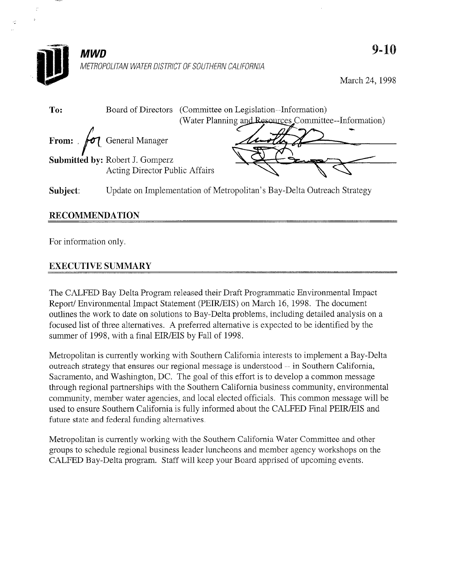

To: From: Submitted by: Robert J. Gomperz Subject: Board of Directors (Committee on Legislation--Information) (Water Planning and Resources Committee--Information) General Manager Acting Director Public Affairs Update on Implementation of Metropolitan's Bay-Delta Outreach Strategy

# RECOMMENDATION

For information only.

# EXECUTIVE SUMMARY

The CALFED Bay-Delta Program released their Draft Programmatic Environmental Impact Report/ Environmental Impact Statement (PEIR/EIS) on March 16, 1998. The document outlines the work to date on solutions to Bay-Delta problems, including detailed analysis on a focused list of three alternatives. A preferred alternative is expected to be identified by the summer of 1998, with a final EIR/EIS by Fall of 1998.

Metropolitan is currently working with Southern California interests to implement a Bay-Delta outreach strategy that ensures our regional message is understood -- in Southern California, Sacramento, and Washington, DC. The goal of this effort is to develop a common message through regional partnerships with the Southern California business community, environmental community, member water agencies, and local elected officials. This common message will be used to ensure Southern California is fully informed about the CALFED Final PEIR/EIS and future state and federal funding alternatives.

Metropolitan is currently working with the Southern California Water Committee and other groups to schedule regional business leader luncheons and member agency workshops on the CALFED Bay-Delta program. Staff will keep your Board apprised of upcoming events.

March 24, 1998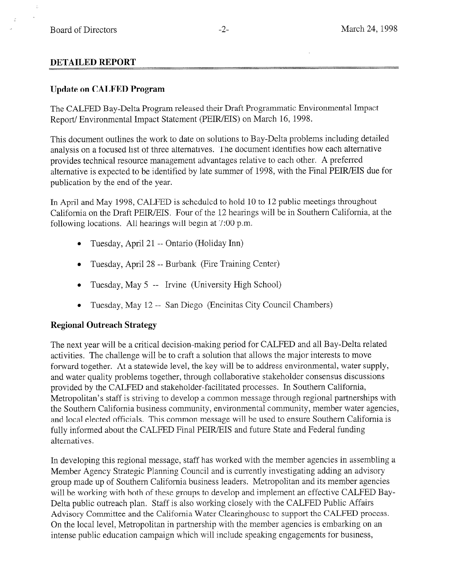#### DETAILED REPORT

#### Update on CALFED Program

The CALFED Bay-Delta Program released their Draft Programmatic Environmental Impact Report/ Environmental Impact Statement (PEIR/EIS) on March 16, 1998.

This document outlines the work to date on solutions to Bay-Delta problems including detailed analysis on a focused list of three alternatives. The document identifies how each alternative provides technical resource management advantages relative to each other. A preferred alternative is expected to be identified by late summer of 1998, with the Final PEIR/EIS due for publication by the end of the year.

In April and May 1998, CALFED is scheduled to hold 10 to 12 public meetings throughout California on the Draft PEIR/EIS. Four of the 12 hearings will be in Southern California, at the following locations. All hearings will begin at 7:00 p.m.

- <sup>l</sup>Tuesday, April 21 -- Ontario (Holiday Inn)
- Tuesday, April 28 -- Burbank (Fire Training Center)
- Tuesday, May 5 -- Irvine (University High School)
- <sup>l</sup>Tuesday, May 12 -- San Diego (Encinitas City Council Chambers)

#### Regional Outreach Strategy

The next year will be a critical decision-making period for CALFED and all Bay-Delta related activities. The challenge will be to craft a solution that allows the major interests to move forward together. At a statewide level, the key will be to address environmental, water supply, and water quality problems together, through collaborative stakeholder consensus discussions provided by the CALFED and stakeholder-facilitated processes. In Southern California, Metropolitan's staff is striving to develop a common message through regional partnerships with the Southern Califomia business community, environmental community, member water agencies, and local elected officials. This common message will be used to ensure Southern California is fully informed about the CALFED Final PEIR/EIS and future State and Federal funding alternatives.

In developing this regional message, staff has worked with the member agencies in assembling a Member Agency Strategic Planning Council and is currently investigating adding an advisory group made up of Southern California business leaders. Metropolitan and its member agencies will be working with both of these groups to develop and implement an effective CALFED Bay-Delta public outreach plan. Staff is also working closely with the CALFED Public Affairs Advisory Committee and the California Water Clearinghouse to support the CALFED process. On the local level, Metropolitan in partnership with the member agencies is embarking on an intense public education campaign which will include speaking engagements for business,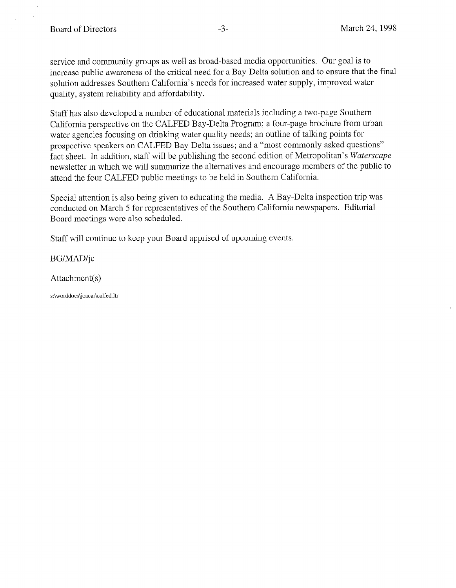service and community groups as well as broad-based media opportunities. Our goal is to increase public awareness of the critical need for a Bay-Delta solution and to ensure that the final solution addresses Southern California's needs for increased water supply, improved water quality, system reliability and affordability.

Staff has also developed a number of educational materials including a two-page Southern California perspective on the CALFED Bay-Delta Program; a four-page brochure from urban water agencies focusing on drinking water quality needs; an outline of talking points for prospective speakers on CALFED Bay-Delta issues; and a "most commonly asked questions" fact sheet. In addition, staff will be publishing the second edition of Metropolitan's Waterscape newsletter in which we will summarize the alternatives and encourage members of the public to attend the four CALPED public meetings to be held in Southern California.

Special attention is also being given to educating the media. A Bay-Delta inspection trip was conducted on March 5 for representatives of the Southern California newspapers. Editorial Board meetings were also scheduled.

Staff will continue to keep your Board apprised of upcoming events.

BG/MAD/jc

Attachment(s)

s:\worddocs\joacar\calfed.ltr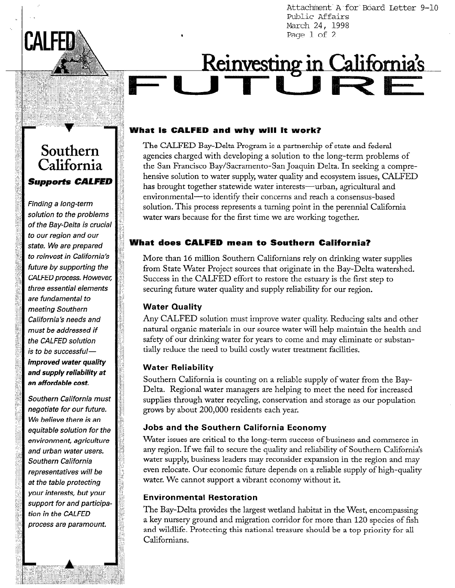Attachment' A.for'Bdard Letter 9-10 Public Affairs March 24, 1998 Page 1 of 2

# Reinvesting in California's

#### What is CALFED and why will it work?

The CALFED Bay-Delta Program is a partnership of state and federal agencies charged with developing a solution to the long-term problems of the San Francisco Bay/Sacramento-San Joaquin Delta. In seeking a comprehensive solution to water supply, water quality and ecosystem issues, CALFED has brought together statewide water interests—urban, agricultural and environmental—to identify their concerns and reach a consensus-based solution. This process represents a turning point in the perennial California water wars because for the first time we are working together.

#### What does CALFED mean to Southern California?

More than 16 million Southern Californians rely on drinking water supplies from State Water Project sources that originate in the Bay-Delta watershed. Success in the CALFED effort to restore the estuary is the first step to securing future water quality and supply reliability for our region.

#### **Water Quality**

 $\mathbb{H}^*$  : I : ': :i '. :

 $\frac{3.3}{100}$  .

> / :iI \$ ,:

 $\mathbb{S}_+$  : .s I .i .: .I :

,'f

Any CALFED solution must improve water quality. Reducing salts and other natural organic materials in our source water will help maintain the health and safety of our drinking water for years to come and may eliminate or substantially reduce the need to build costly water treatment facilities.

#### Water Reliability

Southern California is counting on a reliable supply of water from the Bay-Delta. Regional water managers are helping to meet the need for increased supplies through water recycling, conservation and storage as our population grows by about 200,000 residents each year.

#### Jobs and the Southern California Economy

Water issues are critical to the long-term success of business and commerce in any region. If we fail to secure the quality and reliability of Southern California5 water supply, business leaders may reconsider expansion in the region and may even relocate. Our economic future depends on a reliable supply of high-quality water. We cannot support a vibrant economy without it.

#### Environmental Restoration

The Bay-Delta provides the largest wetland habitat in the West, encompassing a key nursery ground and migration corridor for more than 120 species of fish and wildlife. Protecting this national treasure should be a top priority for all Californians.

# Southern California Supports CALFED

 $\sim$ 

Finding a long-term solution to the problems of the Bay-Delta is crucial to our region and our stare. We are prepared to reinvest in California's future by supporting the CALFED process. However, three essential elements are fundamental to meeting Southern California's needs and must be addressed if the CALFED solution  $i$ s to be successful $$ improved water quality and supply reliability at an affordable cost. Southern California must

negotiate for our future. We believe there is an equitable solution for the environment, agriculture and urban water users. Southern California representatives will be at the table protecting your interests, but your support for and participation in the CALFED process are paramount.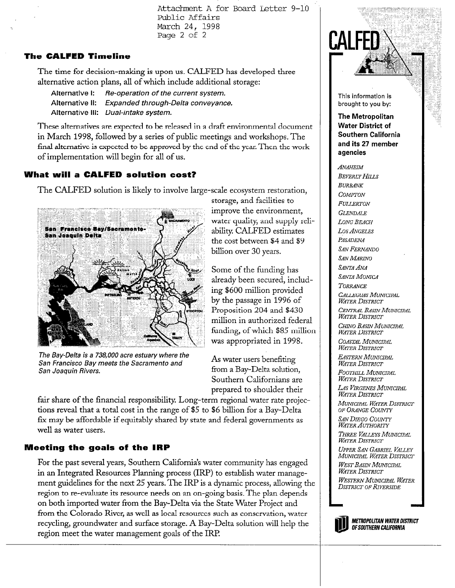Attachment A for Board Letter 9-10 Public Affairs March 24, 1998 Page 2 of 2

> storage, and facilities to improve the environment, water quality, and supply reliability. CALFED estimates the cost between \$4 and \$9

billion over 30 years.

Some of the funding has already been secured, including \$600 million provided by the passage in 1996 of Proposition 204 and \$430 million in authorized federal tinding, ofwhich \$85 million was appropriated in 1998.

As water users benefiting from a Bay-Delta solution, Southern Californians are

#### The CALFED Timeline

The time for decision-making is upon us. CALFED has developed three alternative action plans, all of which include additional storage:

Alternative I: Re-operation of the current system. Alternative II: Expanded through-Delta conveyance. Alternative III: Dual-intake system.

These alternatives are expected to be released in a draft environmental document in March 1998, followed by a series of public meetings and workshops. The final alternative is expected to be approved by the end of the year. Then the work of implementation will begin for all of us.

#### What will a CALFED solution cost?

The CALFED solution is likely to involve large-scale ecosystem restoration,



The Bay-Delta is a 738,000 acre estuary where the San Francisco Bay meets the Sacramento and San Joaquin Rivers.

prepared to shoulder their fair share of the financial responsibility. Long-term regional water rate projections reveal that a total cost in the range of \$5 to \$6 billion for a Bay-Delta fix may be affordable if equitably shared by state and federal governments as well as water users.

#### Meeting the goals of the IRP

For the past several years, Southern California's water community has engaged in an Integrated Resources Planning process (IRP) to establish water management guidelines for the next 25 years. The IRP is a dynamic process, allowing the region to re-evaluate its resource needs on an on-going basis. The plan depends on both imported water from the Bay-Delta via the State Water Project and from the Colorado River, as well as local resources such as conservation, water recycling, groundwater and surface storage. A Bay-Delta solution will help the region meet the water management goals of the IRP



This information is brought to you by:

The Metropolitan Water District of Southern California and its 27 member agencies

ANAHEIM **BEVERLY HILLS BURBANK COMPTON FULLERTON GLENDALE** LONG BEACH LOSANGELES PASADENA **SAN FERNANDO SAN MARINO** SANTA ANA SANTA MONICA **TORRANCE** - ---------<br>Calleguias Municipal GALLEGUAS IVIUNICIP.<br>Water District WATER DISTRICT<br>CENTRAL BASIN MUNICIPAL **WATER DISTRICT** CHINA BISINGI<br>Curio Bisin' Minisori CHINO BASIN MUNI<br>Water Districts

Come Municipal COASTAL MUNICIPAL<br>Water Dramman

External Mexican EASTERN MUNICIPAL<br>Wardd Districtor FAILA DIGIALUI<br>Foothull Municipal

FOOTHILL MUNICIP.<br>Warno Dramman LAS VIRGENESI<br>Las Virgining Minimonal

LAS VIRGENES MUNIC<br>Www.primiera  $\frac{M}{M}$ 

Municipal Water Dis:<br>^~^  $S_{\text{max}}$  County  $S_{\text{max}}$ 

SAN DIEGO COUNTY  $T_{\text{max}}$  $T_{\text{max}}$   $T_{\text{max}}$ 

Three Valleys Mun<br>\*\*\*  $U$ 

UPPER SAN GABRIEL VALLEY MUNICIPAL WATER DISTRICT West Basin Municipal<br>Water District

WATER DISTRICT<br>\*\*\* WESTERN MUNICIPAL WATER

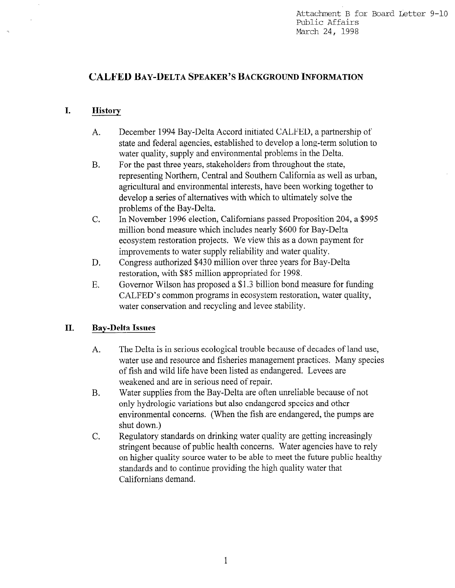# CALFED BAY-DELTA SPEAKER'S BACKGROUND INFORMATION

### I. History

- A. December 1994 Bay-Delta Accord initiated CALFED, a partnership of state and federal agencies, established to develop a long-term solution to water quality, supply and environmental problems in the Delta.
- B. For the past three years, stakeholders from throughout the state, representing Northern, Central and Southern California as well as urban, agricultural and environmental interests, have been working together to develop a series of alternatives with which to ultimately solve the problems of the Bay-Delta.
- C. In November 1996 election, Californians passed Proposition 204, a \$995 million bond measure which includes nearly \$600 for Bay-Delta ecosystem restoration projects. We view this as a down payment for improvements to water supply reliability and water quality.
- D. Congress authorized \$430 million over three years for Bay-Delta restoration, with \$85 million appropriated for 1998.
- E. Governor Wilson has proposed a \$1.3 billion bond measure for funding CALFED's common programs in ecosystem restoration, water quality, water conservation and recycling and levee stability.

#### II. Bay-Delta Issues

- A. The Delta is in serious ecological trouble because of decades of land use, water use and resource and fisheries management practices. Many species of fish and wild life have been listed as endangered. Levees are weakened and are in serious need of repair.
- B. Water supplies from the Bay-Delta are often unreliable because of not only hydrologic variations but also endangered species and other environmental concerns. (When the fish are endangered, the pumps are shut down.)
- C. Regulatory standards on drinking water quality are getting increasingly stringent because of public health concerns. Water agencies have to rely on higher quality source water to be able to meet the future public healthy standards and to continue providing the high quality water that Californians demand.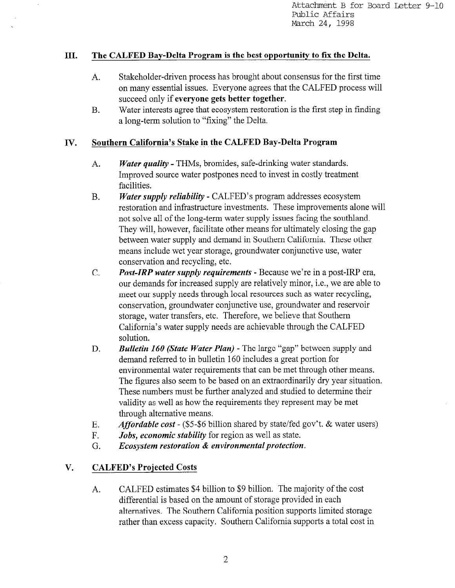#### III. The CALFED Bay-Delta Program is the best opportunity to fix the Delta.

- A. Stakeholder-driven process has brought about consensus for the first time on many essential issues. Everyone agrees that the CALFED process will succeed only if everyone gets better together.
- B. Water interests agree that ecosystem restoration is the first step in finding a long-term solution to "fixing" the Delta.

#### IV. Southern California's Stake in the CALFED Bay-Delta Program

- A. Water quality - THMs, bromides, safe-drinking water standards. Improved source water postpones need to invest in costly treatment facilities.
- B. Water supply reliability - CALFED's program addresses ecosystem restoration and infrastructure investments. These improvements alone will not solve all of the long-term water supply issues facing the southland. They will, however, facilitate other means for ultimately closing the gap between water supply and demand in Southern California. These other means include wet year storage, groundwater conjunctive use, water conservation and recycling, etc.
- C. **Post-IRP water supply requirements - Because we're in a post-IRP era,** our demands for increased supply are relatively minor, i.e., we are able to meet our supply needs through local resources such as water recycling, conservation, groundwater conjunctive use, groundwater and reservoir storage, water transfers, etc. Therefore, we believe that Southern California's water supply needs are achievable through the CALFED solution.
- D. **Bulletin 160 (State Water Plan) - The large "gap" between supply and** demand referred to in bulletin 160 includes a great portion for environmental water requirements that can be met through other means. The figures also seem to be based on an extraordinarily dry year situation. These numbers must be further analyzed and studied to determine their validity as well as how the requirements they represent may be met through alternative means.
- E. **Affordable cost - (\$5-\$6 billion shared by state/fed gov't. & water users)**
- F. *Jobs, economic stability* for region as well as state.
- G.  $E$ cosystem restoration  $\&$  environmental protection.

#### V. CALFED's Projected Costs

A. CALFED estimates \$4 billion to \$9 billion. The majority of the cost differential is based on the amount of storage provided in each alternatives. The Southern California position supports limited storage rather than excess capacity. Southern California supports a total cost in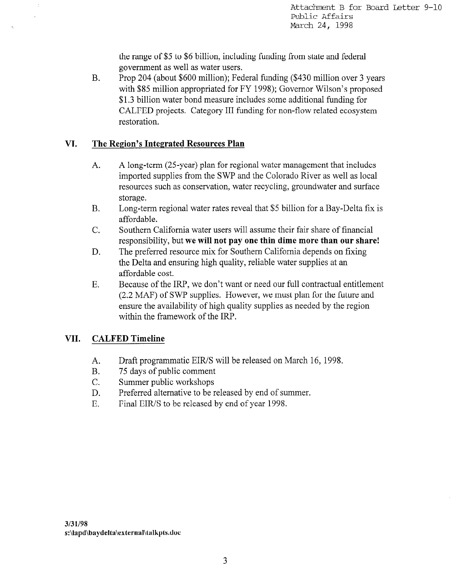the range of \$5 to \$6 billion, including funding from state and federal government as well as water users.

B. Prop 204 (about \$600 million); Federal funding (\$430 million over 3 years with \$85 million appropriated for FY 1998); Governor Wilson's proposed \$1.3 billion water bond measure includes some additional funding for CALFED projects. Category III funding for non-flow related ecosystem restoration.

# VI. The Region's Integrated Resources Plan

- A. A long-term (25-year) plan for regional water management that includes imported supplies from the SWP and the Colorado River as well as local resources such as conservation, water recycling, groundwater and surface storage.
- B. Long-term regional water rates reveal that \$5 billion for a Bay-Delta fix is affordable.
- C. Southern California water users will assume their fair share of financial responsibility, but we will not pay one thin dime more than our share!
- D. The preferred resource mix for Southern California depends on fixing the Delta and ensuring high quality, reliable water supplies at an affordable cost.
- E. Because of the IRP, we don't want or need our full contractual entitlement (2.2 MAF) of SWP supplies. However, we must plan for the future and ensure the availability of high quality supplies as needed by the region within the framework of the IRP.

#### VII. CALFED Timeline

- A. Draft programmatic EIR/S will be released on March 16, 1998.
- B. 75 days of public comment
- C. Summer public workshops
- D. Preferred alternative to be released by end of summer.
- E. Final EIR/S to be released by end of year 1998.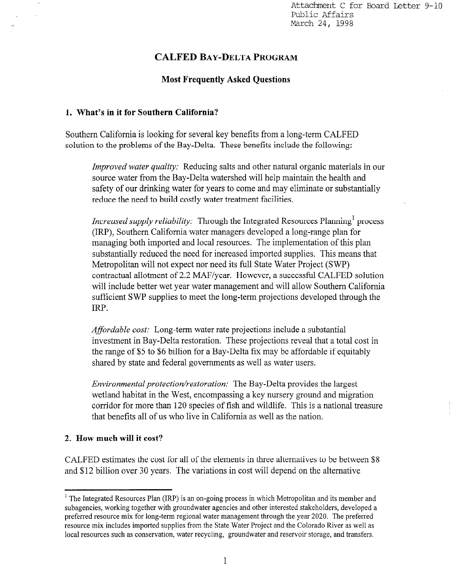Attachment C for Board Letter 9-i0 Public Affairs March 24, 1998

#### CALFED BAY-DELTA PROGRAM

#### Most Frequently Asked Questions

#### 1. What's in it for Southern California?

Southern California is looking for several key benefits from a long-term CALFED solution to the problems of the Bay-Delta. These benefits include the following:

Improved water quality: Reducing salts and other natural organic materials in our source water from the Bay-Delta watershed will help maintain the health and safety of our drinking water for years to come and may eliminate or substantially reduce the need to build costly water treatment facilities.

*Increased supply reliability:* Through the Integrated Resources Planning<sup>1</sup> process (IRP), Southern California water managers developed a long-range plan for managing both imported and local resources. The implementation of this plan substantially reduced the need for increased imported supplies. This means that Metropolitan will not expect nor need its full State Water Project (SWP) contractual allotment of 2.2 MAF/year. However, a successful CALFED solution will include better wet year water management and will allow Southern California sufficient SWP supplies to meet the long-term projections developed through the IRP.

Affordable cost: Long-term water rate projections include a substantial investment in Bay-Delta restoration. These projections reveal that a total cost in the range of \$5 to \$6 billion for a Bay-Delta fix may be affordable if equitably shared by state and federal governments as well as water users.

Environmental protection/restoration: The Bay-Delta provides the largest wetland habitat in the West, encompassing a key nursery ground and migration corridor for more than 120 species of fish and wildlife. This is a national treasure that benefits all of us who live in California as well as the nation.

#### 2. How much will it cost?

CALFED estimates the cost for all of the elements in three alternatives to be between \$8 and \$12 billion over 30 years. The variations in cost will depend on the alternative

<sup>&#</sup>x27; The Integrated Resources Plan (IRP) is an on-going process in which Metropolitan and its member and The integrated resources I lan (IRI) is an on-going process in which includional and its includer and subagencies, working together while groundwater agencies and other interested stakeholders, developed preferred resource mix for long-term regional water management through the year 2020. The preferred resource mix includes imported supplies from the State Water Project and the Colorado River as well as local resources such as conservation, water recycling, groundwater and reservoir storage, and transfers.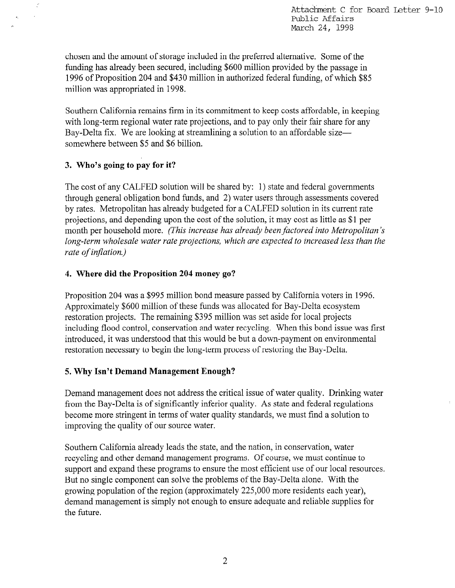chosen and the amount of storage included in the preferred alternative. Some of the funding has already been secured, including \$600 million provided by the passage in 1996 of Proposition 204 and \$430 million in authorized federal funding, of which \$85 million was appropriated in 1998.

Southern California remains firm in its commitment to keep costs affordable, in keeping with long-term regional water rate projections, and to pay only their fair share for any Bay-Delta fix. We are looking at streamlining a solution to an affordable size somewhere between \$5 and \$6 billion.

#### 3. Who's going to pay for it?

 $\mathbb{C}$ 

The cost of any CALFED solution will be shared by: 1) state and federal governments through general obligation bond funds, and 2) water users through assessments covered by rates. Metropolitan has already budgeted for a CALFED solution in its current rate projections, and depending upon the cost of the solution, it may cost as little as \$1 per month per household more. (This increase has already been factored into Metropolitan's long-term wholesale water rate projections, which are expected to increased less than the rate of inflation.)

#### 4. Where did the Proposition 204 money go?

Proposition 204 was a \$995 million bond measure passed by California voters in 1996. Approximately \$600 million of these funds was allocated for Bay-Delta ecosystem restoration projects. The remaining \$395 million was set aside for local projects including flood control, conservation and water recycling. When this bond issue was first introduced, it was understood that this would be but a down-payment on environmental restoration necessary to begin the long-term process of restoring the Bay-Delta.

#### 5. Why Isn't Demand Management Enough?

Demand management does not address the critical issue of water quality. Drinking water from the Bay-Delta is of significantly inferior quality. As state and federal regulations become more stringent in terms of water quality standards, we must find a solution to improving the quality of our source water.

Southern California already leads the state, and the nation, in conservation, water recycling and other demand management programs. Of course, we must continue to support and expand these programs to ensure the most efficient use of our local resources. But no single component can solve the problems of the Bay-Delta alone. With the growing population of the region (approximately 225,000 more residents each year), demand management is simply not enough to ensure adequate and reliable supplies for the future.